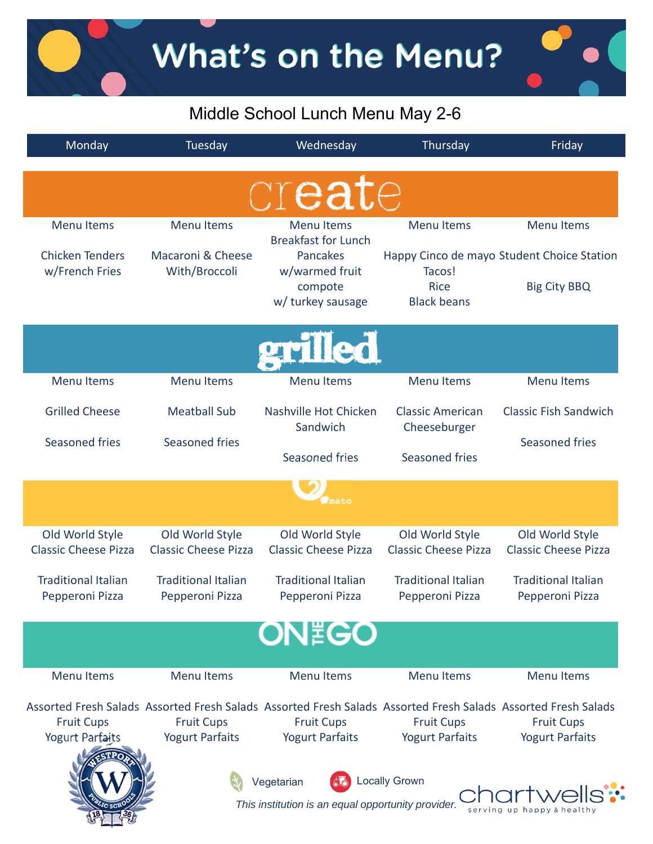### Middle School Lunch Menu May 2-6

| Monday                                         | Tuesday                                                                                                                                                      | Wednesday                                                        | Thursday                                       | Friday                                         |  |
|------------------------------------------------|--------------------------------------------------------------------------------------------------------------------------------------------------------------|------------------------------------------------------------------|------------------------------------------------|------------------------------------------------|--|
| create                                         |                                                                                                                                                              |                                                                  |                                                |                                                |  |
| <b>Menu Items</b>                              | <b>Menu Items</b>                                                                                                                                            | <b>Menu</b> Items<br><b>Breakfast for Lunch</b>                  | <b>Menu Items</b>                              | <b>Menu Items</b>                              |  |
| <b>Chicken Tenders</b>                         | Macaroni & Cheese                                                                                                                                            | Pancakes                                                         |                                                | Happy Cinco de mayo Student Choice Station     |  |
| w/French Fries                                 | With/Broccoli                                                                                                                                                | w/warmed fruit<br>compote<br>w/ turkey sausage                   | Tacos!<br><b>Rice</b><br><b>Black beans</b>    | <b>Big City BBQ</b>                            |  |
| erilled                                        |                                                                                                                                                              |                                                                  |                                                |                                                |  |
| <b>Menu Items</b>                              | <b>Menu Items</b>                                                                                                                                            | <b>Menu Items</b>                                                | <b>Menu Items</b>                              | <b>Menu Items</b>                              |  |
| <b>Grilled Cheese</b>                          | <b>Meatball Sub</b>                                                                                                                                          | Nashville Hot Chicken<br>Sandwich                                | <b>Classic American</b><br>Cheeseburger        | <b>Classic Fish Sandwich</b>                   |  |
| <b>Seasoned fries</b>                          | Seasoned fries                                                                                                                                               | Seasoned fries                                                   | Seasoned fries                                 | Seasoned fries                                 |  |
|                                                |                                                                                                                                                              |                                                                  |                                                |                                                |  |
| Old World Style<br><b>Classic Cheese Pizza</b> | Old World Style<br><b>Classic Cheese Pizza</b>                                                                                                               | Old World Style<br><b>Classic Cheese Pizza</b>                   | Old World Style<br><b>Classic Cheese Pizza</b> | Old World Style<br><b>Classic Cheese Pizza</b> |  |
| <b>Traditional Italian</b><br>Pepperoni Pizza  | <b>Traditional Italian</b><br>Pepperoni Pizza                                                                                                                | <b>Traditional Italian</b><br>Pepperoni Pizza                    | <b>Traditional Italian</b><br>Pepperoni Pizza  | <b>Traditional Italian</b><br>Pepperoni Pizza  |  |
|                                                |                                                                                                                                                              | <b>ON EGO</b>                                                    |                                                |                                                |  |
| <b>Menu Items</b>                              | <b>Menu Items</b>                                                                                                                                            | <b>Menu Items</b>                                                | <b>Menu Items</b>                              | <b>Menu Items</b>                              |  |
| <b>Fruit Cups</b><br>Yogurt Parfaits           | Assorted Fresh Salads Assorted Fresh Salads Assorted Fresh Salads Assorted Fresh Salads Assorted Fresh Salads<br><b>Fruit Cups</b><br><b>Yogurt Parfaits</b> | <b>Fruit Cups</b><br><b>Yogurt Parfaits</b>                      | <b>Fruit Cups</b><br><b>Yogurt Parfaits</b>    | <b>Fruit Cups</b><br><b>Yogurt Parfaits</b>    |  |
|                                                |                                                                                                                                                              | Vegetarian<br>This institution is an equal opportunity provider. | <b>Locally Grown</b>                           |                                                |  |

 $T_{\rm{lo}}$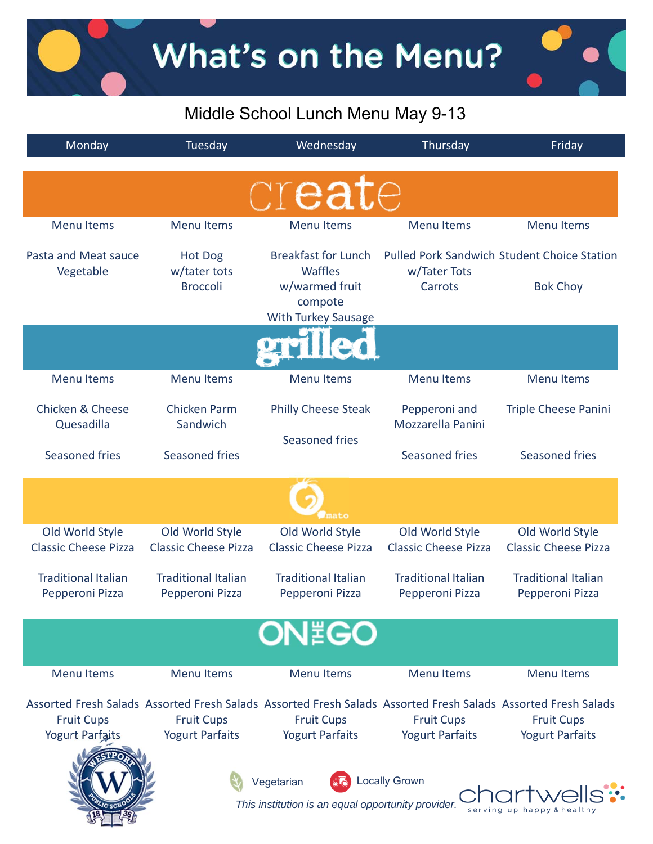### Middle School Lunch Menu May 9-13

| Monday                                         | Tuesday                                           | Wednesday                                                          | Thursday                                       | Friday                                                                                                                                                       |
|------------------------------------------------|---------------------------------------------------|--------------------------------------------------------------------|------------------------------------------------|--------------------------------------------------------------------------------------------------------------------------------------------------------------|
|                                                |                                                   | create                                                             |                                                |                                                                                                                                                              |
| <b>Menu Items</b>                              | <b>Menu Items</b>                                 | <b>Menu Items</b>                                                  | <b>Menu Items</b>                              | <b>Menu Items</b>                                                                                                                                            |
| Pasta and Meat sauce<br>Vegetable              | <b>Hot Dog</b><br>w/tater tots<br><b>Broccoli</b> | <b>Breakfast for Lunch</b><br>Waffles<br>w/warmed fruit<br>compote | w/Tater Tots<br>Carrots                        | <b>Pulled Pork Sandwich Student Choice Station</b><br><b>Bok Choy</b>                                                                                        |
|                                                |                                                   | <b>With Turkey Sausage</b>                                         |                                                |                                                                                                                                                              |
| <b>Menu Items</b>                              | <b>Menu Items</b>                                 | <b>Menu Items</b>                                                  | <b>Menu Items</b>                              | <b>Menu Items</b>                                                                                                                                            |
| <b>Chicken &amp; Cheese</b><br>Quesadilla      | <b>Chicken Parm</b><br>Sandwich                   | <b>Philly Cheese Steak</b><br>Seasoned fries                       | Pepperoni and<br>Mozzarella Panini             | <b>Triple Cheese Panini</b>                                                                                                                                  |
| Seasoned fries                                 | Seasoned fries                                    |                                                                    | Seasoned fries                                 | <b>Seasoned fries</b>                                                                                                                                        |
|                                                |                                                   | mato                                                               |                                                |                                                                                                                                                              |
| Old World Style<br><b>Classic Cheese Pizza</b> | Old World Style<br><b>Classic Cheese Pizza</b>    | Old World Style<br><b>Classic Cheese Pizza</b>                     | Old World Style<br><b>Classic Cheese Pizza</b> | Old World Style<br><b>Classic Cheese Pizza</b>                                                                                                               |
| <b>Traditional Italian</b><br>Pepperoni Pizza  | <b>Traditional Italian</b><br>Pepperoni Pizza     | <b>Traditional Italian</b><br>Pepperoni Pizza                      | <b>Traditional Italian</b><br>Pepperoni Pizza  | <b>Traditional Italian</b><br>Pepperoni Pizza                                                                                                                |
|                                                |                                                   | <b>ON EGO</b>                                                      |                                                |                                                                                                                                                              |
| <b>Menu Items</b>                              | <b>Menu Items</b>                                 | <b>Menu Items</b>                                                  | <b>Menu Items</b>                              | <b>Menu Items</b>                                                                                                                                            |
| <b>Fruit Cups</b><br>Yogurt Parfaits           | <b>Fruit Cups</b><br><b>Yogurt Parfaits</b>       | <b>Fruit Cups</b><br><b>Yogurt Parfaits</b>                        | <b>Fruit Cups</b><br><b>Yogurt Parfaits</b>    | Assorted Fresh Salads Assorted Fresh Salads Assorted Fresh Salads Assorted Fresh Salads Assorted Fresh Salads<br><b>Fruit Cups</b><br><b>Yogurt Parfaits</b> |
|                                                |                                                   | Vegetarian<br>This institution is an equal opportunity provider.   | <b>Locally Grown</b>                           | serving up happ                                                                                                                                              |

 $\mathbb{Z}_{\alpha}$ 

Ч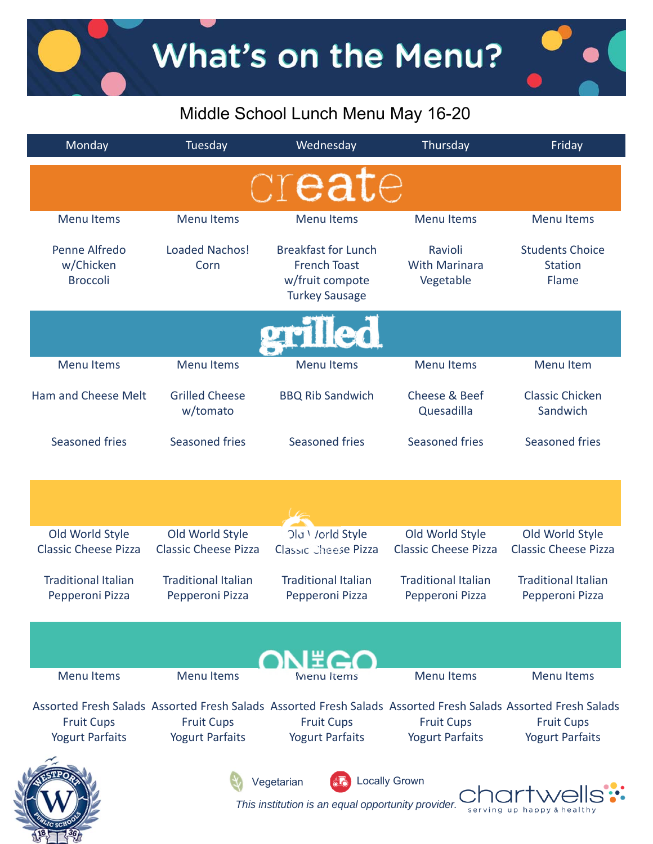## What's on the Menu?

## Middle School Lunch Menu May 16-20

| Monday                                                                                                                                                       | Tuesday                                        | Wednesday                                                                                     | Thursday                                       | Friday                                            |
|--------------------------------------------------------------------------------------------------------------------------------------------------------------|------------------------------------------------|-----------------------------------------------------------------------------------------------|------------------------------------------------|---------------------------------------------------|
|                                                                                                                                                              |                                                | create                                                                                        |                                                |                                                   |
| <b>Menu Items</b>                                                                                                                                            | <b>Menu Items</b>                              | <b>Menu Items</b>                                                                             | <b>Menu Items</b>                              | <b>Menu Items</b>                                 |
| Penne Alfredo<br>w/Chicken<br><b>Broccoli</b>                                                                                                                | <b>Loaded Nachos!</b><br>Corn                  | <b>Breakfast for Lunch</b><br><b>French Toast</b><br>w/fruit compote<br><b>Turkey Sausage</b> | Ravioli<br><b>With Marinara</b><br>Vegetable   | <b>Students Choice</b><br><b>Station</b><br>Flame |
|                                                                                                                                                              |                                                | lled                                                                                          |                                                |                                                   |
| <b>Menu Items</b>                                                                                                                                            | <b>Menu Items</b>                              | <b>Menu Items</b>                                                                             | <b>Menu Items</b>                              | <b>Menu Item</b>                                  |
| Ham and Cheese Melt                                                                                                                                          | <b>Grilled Cheese</b><br>w/tomato              | <b>BBQ Rib Sandwich</b>                                                                       | Cheese & Beef<br>Quesadilla                    | <b>Classic Chicken</b><br>Sandwich                |
| Seasoned fries                                                                                                                                               | <b>Seasoned fries</b>                          | Seasoned fries                                                                                | Seasoned fries                                 | <b>Seasoned fries</b>                             |
|                                                                                                                                                              |                                                |                                                                                               |                                                |                                                   |
| Old World Style<br><b>Classic Cheese Pizza</b>                                                                                                               | Old World Style<br><b>Classic Cheese Pizza</b> | Old Vorld Style<br>Classic Cheese Pizza                                                       | Old World Style<br><b>Classic Cheese Pizza</b> | Old World Style<br><b>Classic Cheese Pizza</b>    |
| <b>Traditional Italian</b><br>Pepperoni Pizza                                                                                                                | <b>Traditional Italian</b><br>Pepperoni Pizza  | <b>Traditional Italian</b><br>Pepperoni Pizza                                                 | <b>Traditional Italian</b><br>Pepperoni Pizza  | <b>Traditional Italian</b><br>Pepperoni Pizza     |
|                                                                                                                                                              |                                                | I # C                                                                                         |                                                |                                                   |
| <b>Menu Items</b>                                                                                                                                            | <b>Menu Items</b>                              | <b>Menu</b> Items                                                                             | <b>Menu Items</b>                              | <b>Menu Items</b>                                 |
| Assorted Fresh Salads Assorted Fresh Salads Assorted Fresh Salads Assorted Fresh Salads Assorted Fresh Salads<br><b>Fruit Cups</b><br><b>Yogurt Parfaits</b> | <b>Fruit Cups</b><br><b>Yogurt Parfaits</b>    | <b>Fruit Cups</b><br><b>Yogurt Parfaits</b>                                                   | <b>Fruit Cups</b><br><b>Yogurt Parfaits</b>    | <b>Fruit Cups</b><br><b>Yogurt Parfaits</b>       |
|                                                                                                                                                              |                                                | Vegetarian<br>This institution is an equal opportunity provider.                              | <b>Locally Grown</b>                           | happy                                             |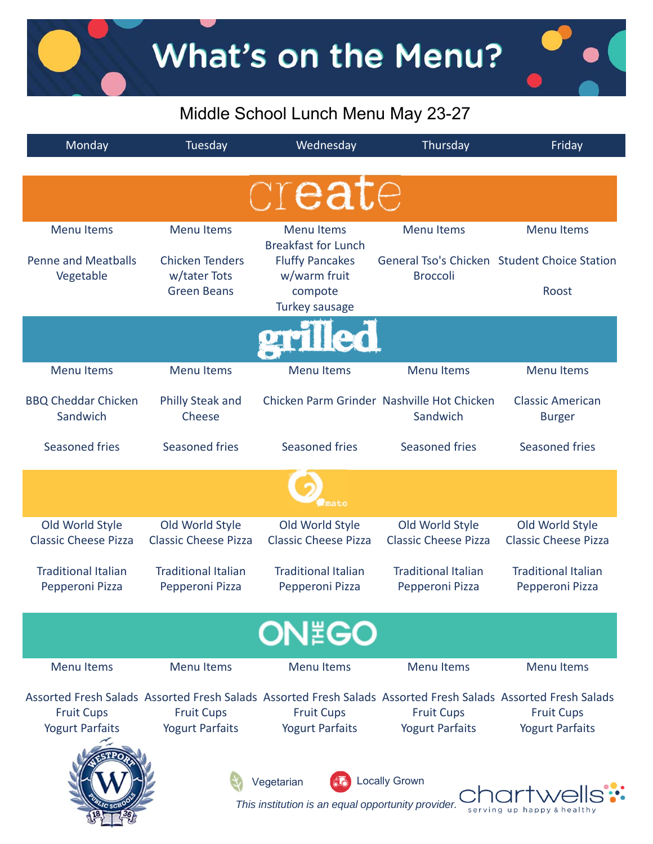What's on the Menu?

### Middle School Lunch Menu May 23-27

| Monday                                         | Tuesday                                                      | Wednesday                                                           | Thursday                                               | Friday                                                                                                                                                       |  |
|------------------------------------------------|--------------------------------------------------------------|---------------------------------------------------------------------|--------------------------------------------------------|--------------------------------------------------------------------------------------------------------------------------------------------------------------|--|
|                                                |                                                              | create                                                              |                                                        |                                                                                                                                                              |  |
| <b>Menu Items</b>                              | <b>Menu Items</b>                                            | <b>Menu Items</b><br><b>Breakfast for Lunch</b>                     | <b>Menu Items</b>                                      | <b>Menu Items</b>                                                                                                                                            |  |
| <b>Penne and Meatballs</b><br>Vegetable        | <b>Chicken Tenders</b><br>w/tater Tots<br><b>Green Beans</b> | <b>Fluffy Pancakes</b><br>w/warm fruit<br>compote<br>Turkey sausage | <b>Broccoli</b>                                        | General Tso's Chicken Student Choice Station<br>Roost                                                                                                        |  |
|                                                |                                                              |                                                                     |                                                        |                                                                                                                                                              |  |
| <b>Menu Items</b>                              | <b>Menu Items</b>                                            | <b>Menu Items</b>                                                   | <b>Menu Items</b>                                      | <b>Menu Items</b>                                                                                                                                            |  |
| <b>BBQ Cheddar Chicken</b><br>Sandwich         | <b>Philly Steak and</b><br>Cheese                            |                                                                     | Chicken Parm Grinder Nashville Hot Chicken<br>Sandwich | <b>Classic American</b><br><b>Burger</b>                                                                                                                     |  |
| Seasoned fries                                 | Seasoned fries                                               | Seasoned fries                                                      | Seasoned fries                                         | Seasoned fries                                                                                                                                               |  |
| mato                                           |                                                              |                                                                     |                                                        |                                                                                                                                                              |  |
| Old World Style<br><b>Classic Cheese Pizza</b> | Old World Style<br><b>Classic Cheese Pizza</b>               | Old World Style<br><b>Classic Cheese Pizza</b>                      | Old World Style<br><b>Classic Cheese Pizza</b>         | Old World Style<br><b>Classic Cheese Pizza</b>                                                                                                               |  |
| <b>Traditional Italian</b><br>Pepperoni Pizza  | <b>Traditional Italian</b><br>Pepperoni Pizza                | <b>Traditional Italian</b><br>Pepperoni Pizza                       | <b>Traditional Italian</b><br>Pepperoni Pizza          | <b>Traditional Italian</b><br>Pepperoni Pizza                                                                                                                |  |
|                                                |                                                              | <b>ON EGO</b>                                                       |                                                        |                                                                                                                                                              |  |
| <b>Menu Items</b>                              | <b>Menu Items</b>                                            | <b>Menu Items</b>                                                   | <b>Menu Items</b>                                      | <b>Menu Items</b>                                                                                                                                            |  |
| <b>Fruit Cups</b><br><b>Yogurt Parfaits</b>    | <b>Fruit Cups</b><br><b>Yogurt Parfaits</b>                  | <b>Fruit Cups</b><br><b>Yogurt Parfaits</b>                         | <b>Fruit Cups</b><br><b>Yogurt Parfaits</b>            | Assorted Fresh Salads Assorted Fresh Salads Assorted Fresh Salads Assorted Fresh Salads Assorted Fresh Salads<br><b>Fruit Cups</b><br><b>Yogurt Parfaits</b> |  |
|                                                |                                                              | Vegetarian<br>This institution is an equal opportunity provider.    | <b>Locally Grown</b>                                   | serving up happy                                                                                                                                             |  |